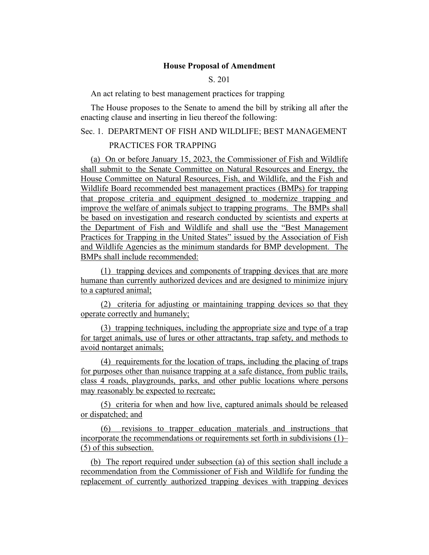### **House Proposal of Amendment**

## S. 201

#### An act relating to best management practices for trapping

The House proposes to the Senate to amend the bill by striking all after the enacting clause and inserting in lieu thereof the following:

# Sec. 1. DEPARTMENT OF FISH AND WILDLIFE; BEST MANAGEMENT

#### PRACTICES FOR TRAPPING

(a) On or before January 15, 2023, the Commissioner of Fish and Wildlife shall submit to the Senate Committee on Natural Resources and Energy, the House Committee on Natural Resources, Fish, and Wildlife, and the Fish and Wildlife Board recommended best management practices (BMPs) for trapping that propose criteria and equipment designed to modernize trapping and improve the welfare of animals subject to trapping programs. The BMPs shall be based on investigation and research conducted by scientists and experts at the Department of Fish and Wildlife and shall use the "Best Management Practices for Trapping in the United States" issued by the Association of Fish and Wildlife Agencies as the minimum standards for BMP development. The BMPs shall include recommended:

(1) trapping devices and components of trapping devices that are more humane than currently authorized devices and are designed to minimize injury to a captured animal;

(2) criteria for adjusting or maintaining trapping devices so that they operate correctly and humanely;

(3) trapping techniques, including the appropriate size and type of a trap for target animals, use of lures or other attractants, trap safety, and methods to avoid nontarget animals;

(4) requirements for the location of traps, including the placing of traps for purposes other than nuisance trapping at a safe distance, from public trails, class 4 roads, playgrounds, parks, and other public locations where persons may reasonably be expected to recreate;

(5) criteria for when and how live, captured animals should be released or dispatched; and

(6) revisions to trapper education materials and instructions that incorporate the recommendations or requirements set forth in subdivisions (1)– (5) of this subsection.

(b) The report required under subsection (a) of this section shall include a recommendation from the Commissioner of Fish and Wildlife for funding the replacement of currently authorized trapping devices with trapping devices